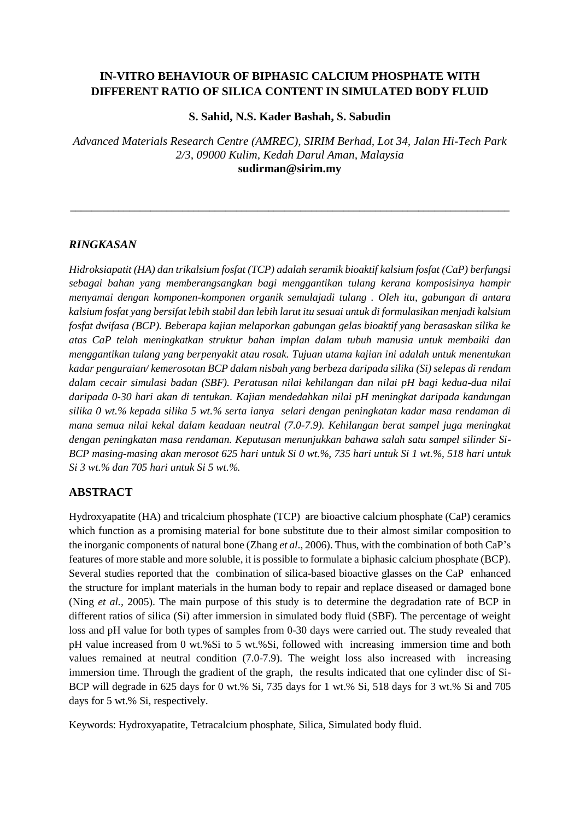# **IN-VITRO BEHAVIOUR OF BIPHASIC CALCIUM PHOSPHATE WITH DIFFERENT RATIO OF SILICA CONTENT IN SIMULATED BODY FLUID**

## **S. Sahid, N.S. Kader Bashah, S. Sabudin**

*Advanced Materials Research Centre (AMREC), SIRIM Berhad, Lot 34, Jalan Hi-Tech Park 2/3, 09000 Kulim, Kedah Darul Aman, Malaysia* **[sudirman@sirim.my](mailto:sudirman@sirim.my)**

\_\_\_\_\_\_\_\_\_\_\_\_\_\_\_\_\_\_\_\_\_\_\_\_\_\_\_\_\_\_\_\_\_\_\_\_\_\_\_\_\_\_\_\_\_\_\_\_\_\_\_\_\_\_\_\_\_\_\_\_\_\_\_\_\_\_\_\_\_\_\_\_\_\_\_\_\_\_\_\_\_\_

## *RINGKASAN*

*Hidroksiapatit (HA) dan trikalsium fosfat (TCP) adalah seramik bioaktif kalsium fosfat (CaP) berfungsi sebagai bahan yang memberangsangkan bagi menggantikan tulang kerana komposisinya hampir menyamai dengan komponen-komponen organik semulajadi tulang . Oleh itu, gabungan di antara kalsium fosfat yang bersifat lebih stabil dan lebih larut itu sesuai untuk di formulasikan menjadi kalsium fosfat dwifasa (BCP). Beberapa kajian melaporkan gabungan gelas bioaktif yang berasaskan silika ke atas CaP telah meningkatkan struktur bahan implan dalam tubuh manusia untuk membaiki dan menggantikan tulang yang berpenyakit atau rosak. Tujuan utama kajian ini adalah untuk menentukan kadar penguraian/ kemerosotan BCP dalam nisbah yang berbeza daripada silika (Si) selepas di rendam dalam cecair simulasi badan (SBF). Peratusan nilai kehilangan dan nilai pH bagi kedua-dua nilai daripada 0-30 hari akan di tentukan. Kajian mendedahkan nilai pH meningkat daripada kandungan silika 0 wt.% kepada silika 5 wt.% serta ianya selari dengan peningkatan kadar masa rendaman di mana semua nilai kekal dalam keadaan neutral (7.0-7.9). Kehilangan berat sampel juga meningkat dengan peningkatan masa rendaman. Keputusan menunjukkan bahawa salah satu sampel silinder Si-BCP masing-masing akan merosot 625 hari untuk Si 0 wt.%, 735 hari untuk Si 1 wt.%, 518 hari untuk Si 3 wt.% dan 705 hari untuk Si 5 wt.%.*

## **ABSTRACT**

Hydroxyapatite (HA) and tricalcium phosphate (TCP) are bioactive calcium phosphate (CaP) ceramics which function as a promising material for bone substitute due to their almost similar composition to the inorganic components of natural bone (Zhang *et al*., 2006). Thus, with the combination of both CaP's features of more stable and more soluble, it is possible to formulate a biphasic calcium phosphate (BCP). Several studies reported that the combination of silica-based bioactive glasses on the CaP enhanced the structure for implant materials in the human body to repair and replace diseased or damaged bone (Ning *et al.,* 2005). The main purpose of this study is to determine the degradation rate of BCP in different ratios of silica (Si) after immersion in simulated body fluid (SBF). The percentage of weight loss and pH value for both types of samples from 0-30 days were carried out. The study revealed that pH value increased from 0 wt.%Si to 5 wt.%Si, followed with increasing immersion time and both values remained at neutral condition (7.0-7.9). The weight loss also increased with increasing immersion time. Through the gradient of the graph, the results indicated that one cylinder disc of Si-BCP will degrade in 625 days for 0 wt.% Si, 735 days for 1 wt.% Si, 518 days for 3 wt.% Si and 705 days for 5 wt.% Si, respectively.

Keywords: Hydroxyapatite, Tetracalcium phosphate, Silica, Simulated body fluid.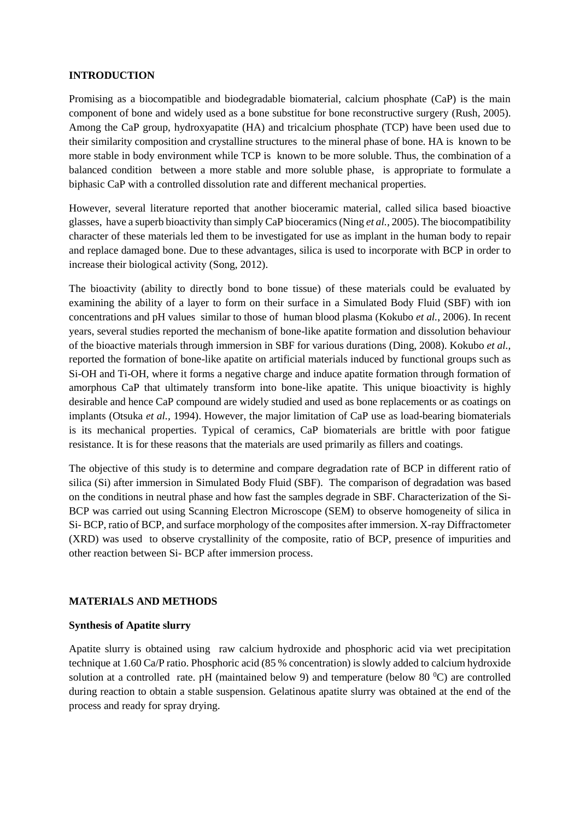## **INTRODUCTION**

Promising as a biocompatible and biodegradable biomaterial, calcium phosphate (CaP) is the main component of bone and widely used as a bone substitue for bone reconstructive surgery (Rush, 2005). Among the CaP group, hydroxyapatite (HA) and tricalcium phosphate (TCP) have been used due to their similarity composition and crystalline structures to the mineral phase of bone. HA is known to be more stable in body environment while TCP is known to be more soluble. Thus, the combination of a balanced condition between a more stable and more soluble phase, is appropriate to formulate a biphasic CaP with a controlled dissolution rate and different mechanical properties.

However, several literature reported that another bioceramic material, called silica based bioactive glasses, have a superb bioactivity than simply CaP bioceramics (Ning *et al.,* 2005). The biocompatibility character of these materials led them to be investigated for use as implant in the human body to repair and replace damaged bone. Due to these advantages, silica is used to incorporate with BCP in order to increase their biological activity (Song, 2012).

The bioactivity (ability to directly bond to bone tissue) of these materials could be evaluated by examining the ability of a layer to form on their surface in a Simulated Body Fluid (SBF) with ion concentrations and pH values similar to those of human blood plasma (Kokubo *et al.*, 2006). In recent years, several studies reported the mechanism of bone-like apatite formation and dissolution behaviour of the bioactive materials through immersion in SBF for various durations (Ding, 2008). Kokubo *et al.,*  reported the formation of bone-like apatite on artificial materials induced by functional groups such as Si-OH and Ti-OH, where it forms a negative charge and induce apatite formation through formation of amorphous CaP that ultimately transform into bone-like apatite. This unique bioactivity is highly desirable and hence CaP compound are widely studied and used as bone replacements or as coatings on implants (Otsuka *et al.,* 1994). However, the major limitation of CaP use as load-bearing biomaterials is its mechanical properties. Typical of ceramics, CaP biomaterials are brittle with poor fatigue resistance. It is for these reasons that the materials are used primarily as fillers and coatings.

The objective of this study is to determine and compare degradation rate of BCP in different ratio of silica (Si) after immersion in Simulated Body Fluid (SBF). The comparison of degradation was based on the conditions in neutral phase and how fast the samples degrade in SBF. Characterization of the Si-BCP was carried out using Scanning Electron Microscope (SEM) to observe homogeneity of silica in Si- BCP, ratio of BCP, and surface morphology of the composites after immersion. X-ray Diffractometer (XRD) was used to observe crystallinity of the composite, ratio of BCP, presence of impurities and other reaction between Si- BCP after immersion process.

### **MATERIALS AND METHODS**

### **Synthesis of Apatite slurry**

Apatite slurry is obtained using raw calcium hydroxide and phosphoric acid via wet precipitation technique at 1.60 Ca/P ratio. Phosphoric acid (85 % concentration) is slowly added to calcium hydroxide solution at a controlled rate. pH (maintained below 9) and temperature (below 80  $^{\circ}$ C) are controlled during reaction to obtain a stable suspension. Gelatinous apatite slurry was obtained at the end of the process and ready for spray drying.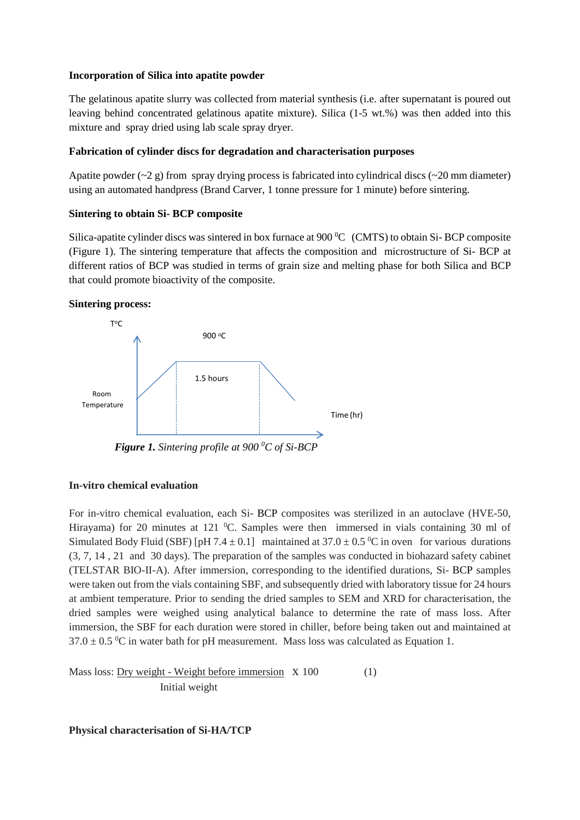## **Incorporation of Silica into apatite powder**

The gelatinous apatite slurry was collected from material synthesis (i.e. after supernatant is poured out leaving behind concentrated gelatinous apatite mixture). Silica (1-5 wt.%) was then added into this mixture and spray dried using lab scale spray dryer.

## **Fabrication of cylinder discs for degradation and characterisation purposes**

Apatite powder  $(-2 g)$  from spray drying process is fabricated into cylindrical discs  $(-20 mm diameter)$ using an automated handpress (Brand Carver, 1 tonne pressure for 1 minute) before sintering.

### **Sintering to obtain Si- BCP composite**

Silica-apatite cylinder discs was sintered in box furnace at 900  $^{\circ}$ C (CMTS) to obtain Si-BCP composite (Figure 1). The sintering temperature that affects the composition and microstructure of Si- BCP at different ratios of BCP was studied in terms of grain size and melting phase for both Silica and BCP that could promote bioactivity of the composite.

## **Sintering process:**



 *Figure 1. Sintering profile at 900 <sup>0</sup>C of Si-BCP*

## **In-vitro chemical evaluation**

For in-vitro chemical evaluation, each Si- BCP composites was sterilized in an autoclave (HVE-50, Hirayama) for 20 minutes at 121  $^{\circ}$ C. Samples were then immersed in vials containing 30 ml of Simulated Body Fluid (SBF) [pH 7.4  $\pm$  0.1] maintained at 37.0  $\pm$  0.5 <sup>o</sup>C in oven for various durations (3, 7, 14 , 21 and 30 days). The preparation of the samples was conducted in biohazard safety cabinet (TELSTAR BIO-II-A). After immersion, corresponding to the identified durations, Si- BCP samples were taken out from the vials containing SBF, and subsequently dried with laboratory tissue for 24 hours at ambient temperature. Prior to sending the dried samples to SEM and XRD for characterisation, the dried samples were weighed using analytical balance to determine the rate of mass loss. After immersion, the SBF for each duration were stored in chiller, before being taken out and maintained at  $37.0 \pm 0.5$  °C in water bath for pH measurement. Mass loss was calculated as Equation 1.

```
Mass loss: Dry weight - Weight before immersion \bar{x} 100 (1)
        Initial weight
```
**Physical characterisation of Si-HA/TCP**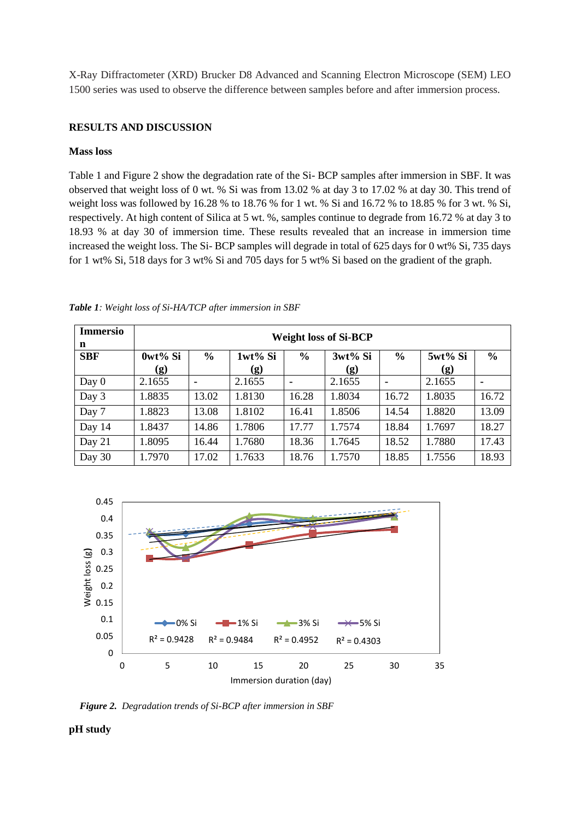X-Ray Diffractometer (XRD) Brucker D8 Advanced and Scanning Electron Microscope (SEM) LEO 1500 series was used to observe the difference between samples before and after immersion process.

## **RESULTS AND DISCUSSION**

### **Mass loss**

Table 1 and Figure 2 show the degradation rate of the Si- BCP samples after immersion in SBF. It was observed that weight loss of 0 wt. % Si was from 13.02 % at day 3 to 17.02 % at day 30. This trend of weight loss was followed by 16.28 % to 18.76 % for 1 wt. % Si and 16.72 % to 18.85 % for 3 wt. % Si, respectively. At high content of Silica at 5 wt. %, samples continue to degrade from 16.72 % at day 3 to 18.93 % at day 30 of immersion time. These results revealed that an increase in immersion time increased the weight loss. The Si- BCP samples will degrade in total of 625 days for 0 wt% Si, 735 days for 1 wt% Si, 518 days for 3 wt% Si and 705 days for 5 wt% Si based on the gradient of the graph.

| <b>Immersio</b><br>n | <b>Weight loss of Si-BCP</b> |               |         |               |         |               |         |               |
|----------------------|------------------------------|---------------|---------|---------------|---------|---------------|---------|---------------|
| <b>SBF</b>           | 0wt% Si                      | $\frac{0}{0}$ | 1wt% Si | $\frac{0}{0}$ | 3wt% Si | $\frac{0}{0}$ | 5wt% Si | $\frac{0}{0}$ |
|                      | (g)                          |               | (g)     |               | (g)     |               | (g)     |               |
| Day $0$              | 2.1655                       | ٠             | 2.1655  | ۰             | 2.1655  | ۰             | 2.1655  | ۰             |
| Day 3                | 1.8835                       | 13.02         | 1.8130  | 16.28         | 1.8034  | 16.72         | 1.8035  | 16.72         |
| Day 7                | 1.8823                       | 13.08         | 1.8102  | 16.41         | 1.8506  | 14.54         | 1.8820  | 13.09         |
| Day 14               | 1.8437                       | 14.86         | 1.7806  | 17.77         | 1.7574  | 18.84         | 1.7697  | 18.27         |
| Day 21               | 1.8095                       | 16.44         | 1.7680  | 18.36         | 1.7645  | 18.52         | 1.7880  | 17.43         |
| Day 30               | 1.7970                       | 17.02         | 1.7633  | 18.76         | 1.7570  | 18.85         | 1.7556  | 18.93         |

*Table 1: Weight loss of Si-HA/TCP after immersion in SBF*



*Figure 2. Degradation trends of Si-BCP after immersion in SBF*

**pH study**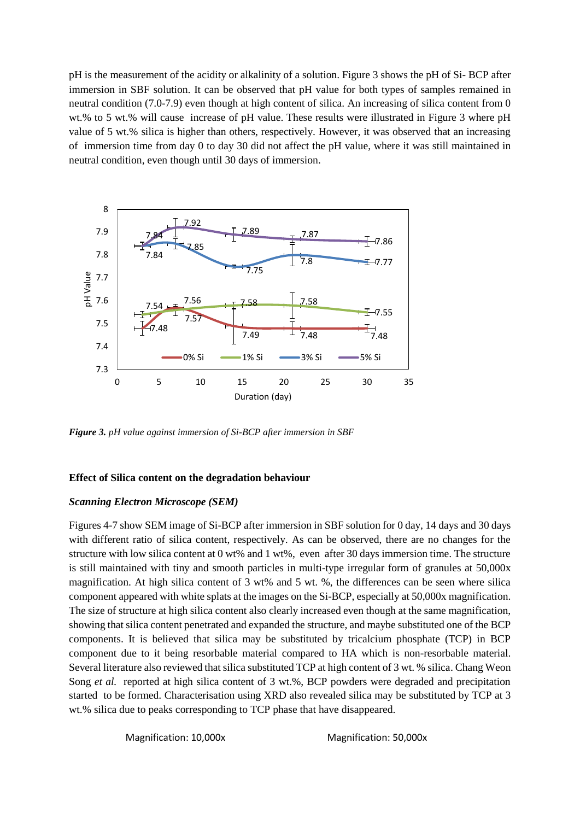pH is the measurement of the acidity or alkalinity of a solution. Figure 3 shows the pH of Si- BCP after immersion in SBF solution. It can be observed that pH value for both types of samples remained in neutral condition (7.0-7.9) even though at high content of silica. An increasing of silica content from 0 wt.% to 5 wt.% will cause increase of pH value. These results were illustrated in Figure 3 where pH value of 5 wt.% silica is higher than others, respectively. However, it was observed that an increasing of immersion time from day 0 to day 30 did not affect the pH value, where it was still maintained in neutral condition, even though until 30 days of immersion.



*Figure 3. pH value against immersion of Si-BCP after immersion in SBF*

### **Effect of Silica content on the degradation behaviour**

### *Scanning Electron Microscope (SEM)*

Figures 4-7 show SEM image of Si-BCP after immersion in SBF solution for 0 day, 14 days and 30 days with different ratio of silica content, respectively. As can be observed, there are no changes for the structure with low silica content at 0 wt% and 1 wt%, even after 30 days immersion time. The structure is still maintained with tiny and smooth particles in multi-type irregular form of granules at 50,000x magnification. At high silica content of 3 wt% and 5 wt. %, the differences can be seen where silica component appeared with white splats at the images on the Si-BCP, especially at 50,000x magnification. The size of structure at high silica content also clearly increased even though at the same magnification, showing that silica content penetrated and expanded the structure, and maybe substituted one of the BCP components. It is believed that silica may be substituted by tricalcium phosphate (TCP) in BCP component due to it being resorbable material compared to HA which is non-resorbable material. Several literature also reviewed that silica substituted TCP at high content of 3 wt. % silica. Chang Weon Song *et al.* reported at high silica content of 3 wt.%, BCP powders were degraded and precipitation started to be formed. Characterisation using XRD also revealed silica may be substituted by TCP at 3 wt.% silica due to peaks corresponding to TCP phase that have disappeared.

Magnification: 10,000x Magnification: 50,000x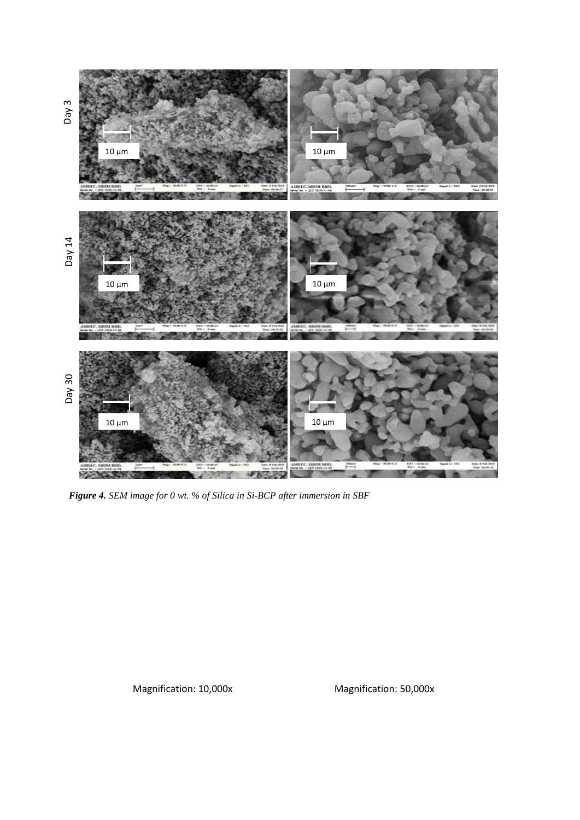

*Figure 4. SEM image for 0 wt. % of Silica in Si-BCP after immersion in SBF*

Magnification: 10,000x Magnification: 50,000x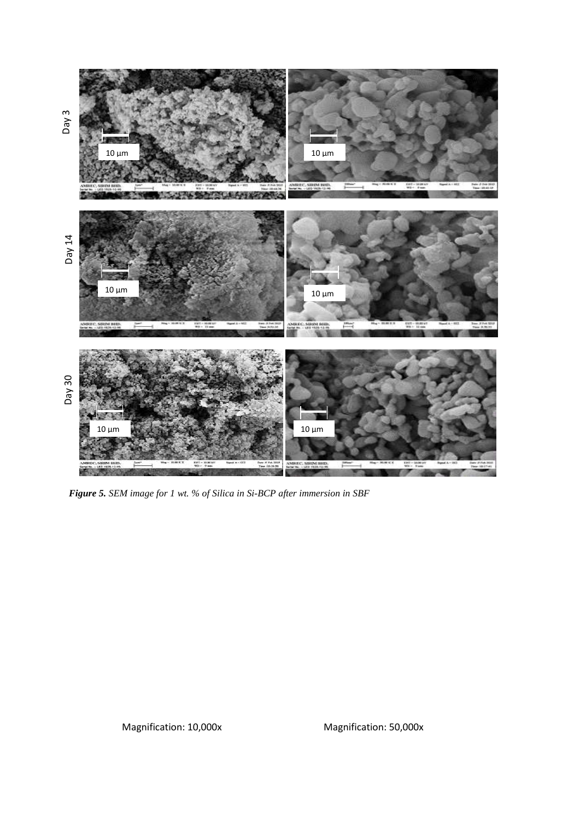

*Figure 5. SEM image for 1 wt. % of Silica in Si-BCP after immersion in SBF*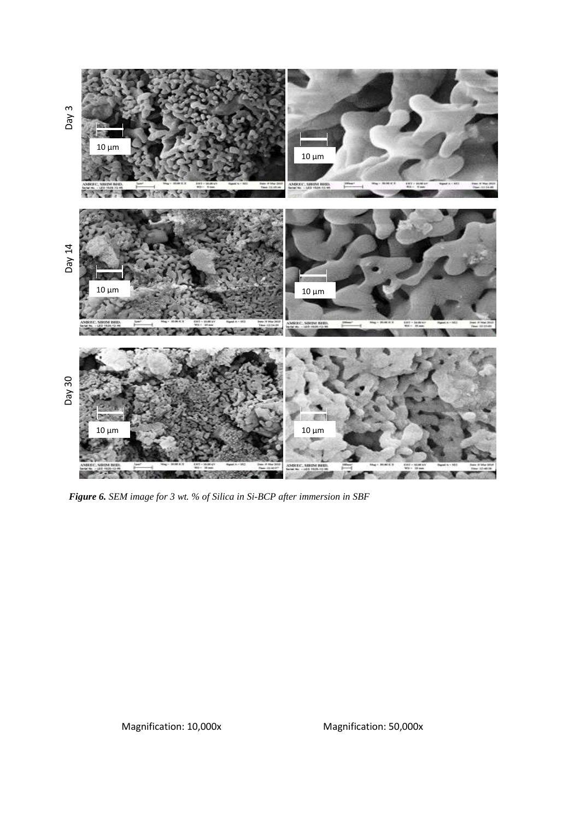

*Figure 6. SEM image for 3 wt. % of Silica in Si-BCP after immersion in SBF*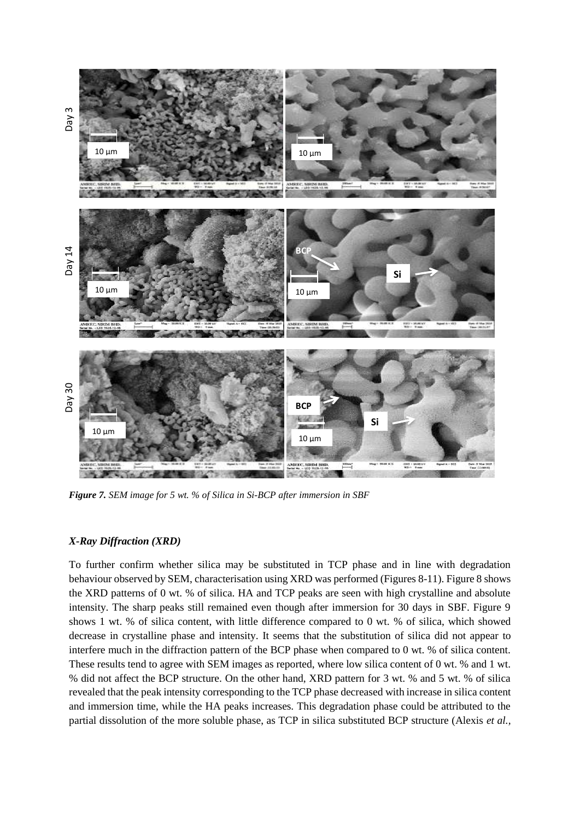

*Figure 7. SEM image for 5 wt. % of Silica in Si-BCP after immersion in SBF*

#### *X-Ray Diffraction (XRD)*

To further confirm whether silica may be substituted in TCP phase and in line with degradation behaviour observed by SEM, characterisation using XRD was performed (Figures 8-11). Figure 8 shows the XRD patterns of 0 wt. % of silica. HA and TCP peaks are seen with high crystalline and absolute intensity. The sharp peaks still remained even though after immersion for 30 days in SBF. Figure 9 shows 1 wt. % of silica content, with little difference compared to 0 wt. % of silica, which showed decrease in crystalline phase and intensity. It seems that the substitution of silica did not appear to interfere much in the diffraction pattern of the BCP phase when compared to 0 wt. % of silica content. These results tend to agree with SEM images as reported, where low silica content of 0 wt. % and 1 wt. % did not affect the BCP structure. On the other hand, XRD pattern for 3 wt. % and 5 wt. % of silica revealed that the peak intensity corresponding to the TCP phase decreased with increase in silica content and immersion time, while the HA peaks increases. This degradation phase could be attributed to the partial dissolution of the more soluble phase, as TCP in silica substituted BCP structure (Alexis *et al.,*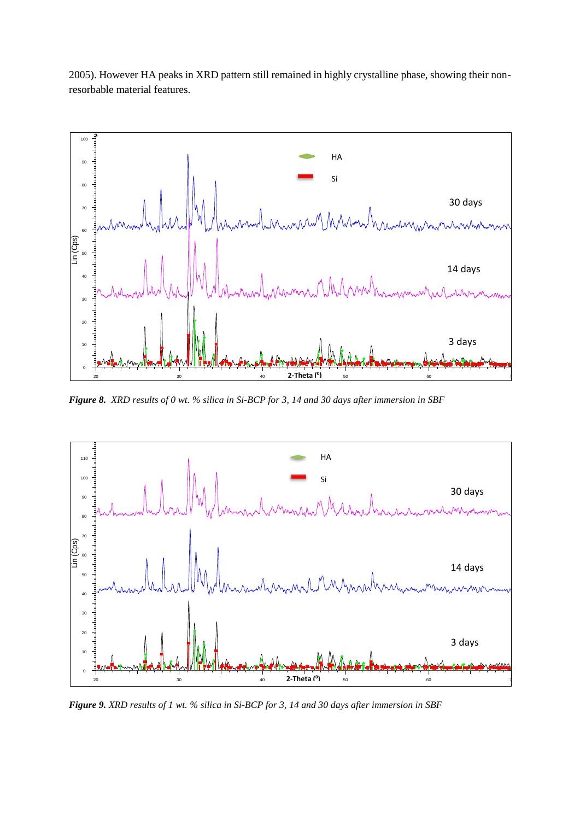2005). However HA peaks in XRD pattern still remained in highly crystalline phase, showing their nonresorbable material features.



**Figure 8.** XRD results of 0 wt. % silica in Si-BCP for 3, 14 and 30 days after immersion in SBF



**Figure 9.** XRD results of 1 wt. % silica in Si-BCP for 3, 14 and 30 days after immersion in SBF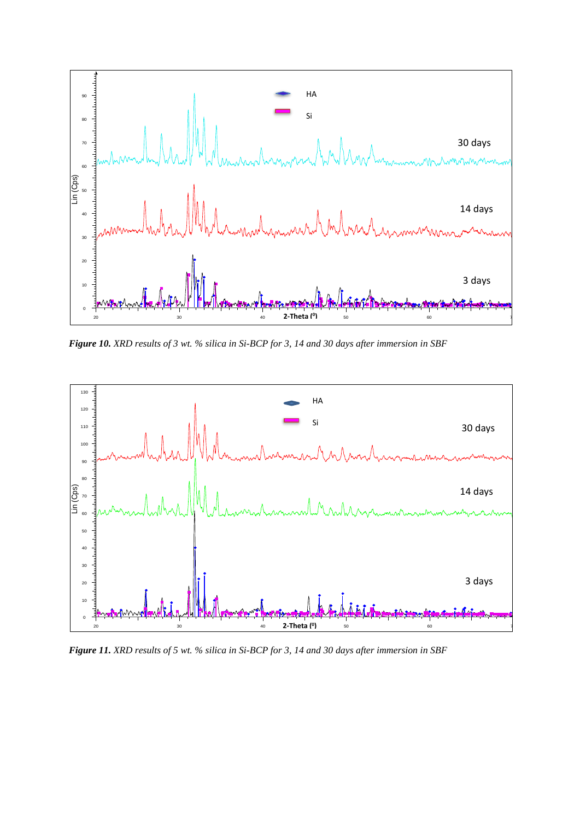

**Figure 10.** XRD results of 3 wt. % silica in Si-BCP for 3, 14 and 30 days after immersion in SBF



**Figure 11.** XRD results of 5 wt. % silica in Si-BCP for 3, 14 and 30 days after immersion in SBF